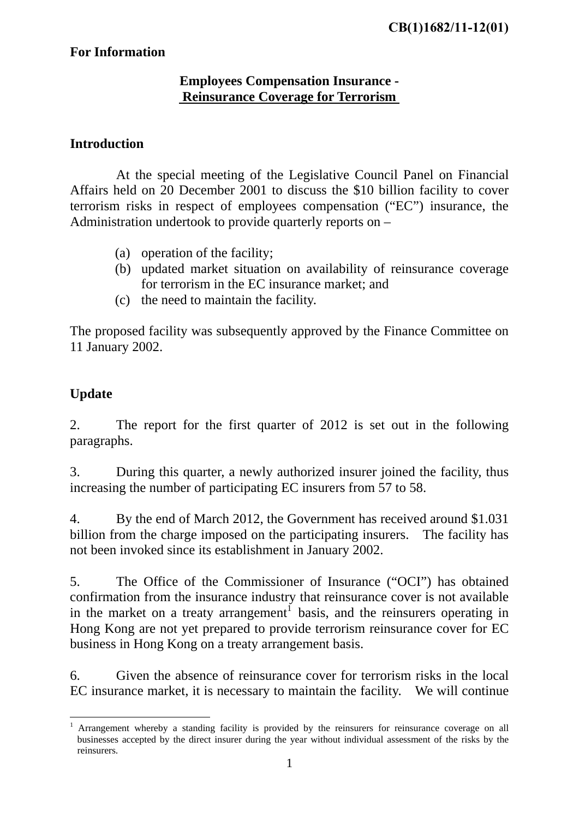## **For Information**

### **Employees Compensation Insurance - Reinsurance Coverage for Terrorism**

#### **Introduction**

 At the special meeting of the Legislative Council Panel on Financial Affairs held on 20 December 2001 to discuss the \$10 billion facility to cover terrorism risks in respect of employees compensation ("EC") insurance, the Administration undertook to provide quarterly reports on –

- (a) operation of the facility;
- (b) updated market situation on availability of reinsurance coverage for terrorism in the EC insurance market; and
- (c) the need to maintain the facility.

The proposed facility was subsequently approved by the Finance Committee on 11 January 2002.

## **Update**

1

2. The report for the first quarter of 2012 is set out in the following paragraphs.

3. During this quarter, a newly authorized insurer joined the facility, thus increasing the number of participating EC insurers from 57 to 58.

4. By the end of March 2012, the Government has received around \$1.031 billion from the charge imposed on the participating insurers. The facility has not been invoked since its establishment in January 2002.

5. The Office of the Commissioner of Insurance ("OCI") has obtained confirmation from the insurance industry that reinsurance cover is not available in the market on a treaty arrangement<sup>1</sup> basis, and the reinsurers operating in Hong Kong are not yet prepared to provide terrorism reinsurance cover for EC business in Hong Kong on a treaty arrangement basis.

6. Given the absence of reinsurance cover for terrorism risks in the local EC insurance market, it is necessary to maintain the facility. We will continue

<sup>1</sup> Arrangement whereby a standing facility is provided by the reinsurers for reinsurance coverage on all businesses accepted by the direct insurer during the year without individual assessment of the risks by the reinsurers.